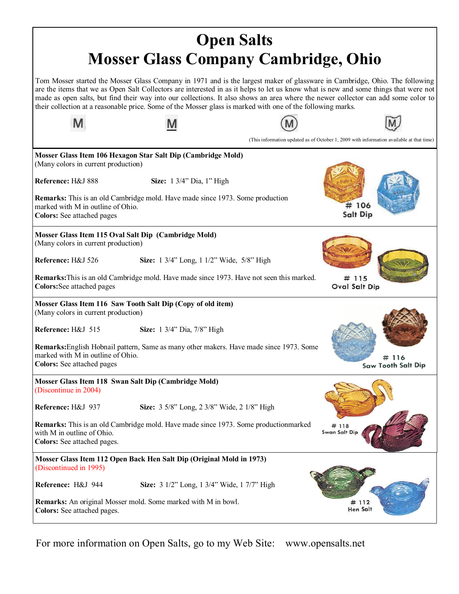| <b>Open Salts</b>                                                                                                                                                                                                                                                                                                                                                                                                                                                                                                        |                                                                                                 |  |                                                                                          |  |  |
|--------------------------------------------------------------------------------------------------------------------------------------------------------------------------------------------------------------------------------------------------------------------------------------------------------------------------------------------------------------------------------------------------------------------------------------------------------------------------------------------------------------------------|-------------------------------------------------------------------------------------------------|--|------------------------------------------------------------------------------------------|--|--|
| <b>Mosser Glass Company Cambridge, Ohio</b>                                                                                                                                                                                                                                                                                                                                                                                                                                                                              |                                                                                                 |  |                                                                                          |  |  |
| Tom Mosser started the Mosser Glass Company in 1971 and is the largest maker of glassware in Cambridge, Ohio. The following<br>are the items that we as Open Salt Collectors are interested in as it helps to let us know what is new and some things that were not<br>made as open salts, but find their way into our collections. It also shows an area where the newer collector can add some color to<br>their collection at a reasonable price. Some of the Mosser glass is marked with one of the following marks. |                                                                                                 |  |                                                                                          |  |  |
|                                                                                                                                                                                                                                                                                                                                                                                                                                                                                                                          |                                                                                                 |  |                                                                                          |  |  |
|                                                                                                                                                                                                                                                                                                                                                                                                                                                                                                                          |                                                                                                 |  | (This information updated as of October 1, 2009 with information available at that time) |  |  |
| (Many colors in current production)                                                                                                                                                                                                                                                                                                                                                                                                                                                                                      | Mosser Glass Item 106 Hexagon Star Salt Dip (Cambridge Mold)                                    |  |                                                                                          |  |  |
| Reference: H&J 888                                                                                                                                                                                                                                                                                                                                                                                                                                                                                                       | Size: 1 3/4" Dia, 1" High                                                                       |  |                                                                                          |  |  |
| marked with M in outline of Ohio.<br><b>Colors:</b> See attached pages                                                                                                                                                                                                                                                                                                                                                                                                                                                   | <b>Remarks:</b> This is an old Cambridge mold. Have made since 1973. Some production            |  | # 106<br>Salt Dip                                                                        |  |  |
| Mosser Glass Item 115 Oval Salt Dip (Cambridge Mold)<br>(Many colors in current production)                                                                                                                                                                                                                                                                                                                                                                                                                              |                                                                                                 |  |                                                                                          |  |  |
| Reference: H&J 526                                                                                                                                                                                                                                                                                                                                                                                                                                                                                                       | Size: 1 3/4" Long, 1 1/2" Wide, 5/8" High                                                       |  |                                                                                          |  |  |
| Colors: See attached pages                                                                                                                                                                                                                                                                                                                                                                                                                                                                                               | <b>Remarks:</b> This is an old Cambridge mold. Have made since 1973. Have not seen this marked. |  | # 115<br><b>Oval Salt Dip</b>                                                            |  |  |
| (Many colors in current production)                                                                                                                                                                                                                                                                                                                                                                                                                                                                                      | Mosser Glass Item 116 Saw Tooth Salt Dip (Copy of old item)                                     |  |                                                                                          |  |  |
| Reference: H&J 515                                                                                                                                                                                                                                                                                                                                                                                                                                                                                                       | Size: 1 3/4" Dia, 7/8" High                                                                     |  |                                                                                          |  |  |
| marked with M in outline of Ohio.<br><b>Colors:</b> See attached pages                                                                                                                                                                                                                                                                                                                                                                                                                                                   | <b>Remarks:</b> English Hobnail pattern, Same as many other makers. Have made since 1973. Some  |  | 116<br><b>Saw Tooth Salt Dip</b>                                                         |  |  |
| (Discontinue in 2004)                                                                                                                                                                                                                                                                                                                                                                                                                                                                                                    | Mosser Glass Item 118 Swan Salt Dip (Cambridge Mold)                                            |  |                                                                                          |  |  |
| Reference: H&J 937                                                                                                                                                                                                                                                                                                                                                                                                                                                                                                       | Size: 3 5/8" Long, 2 3/8" Wide, 2 1/8" High                                                     |  |                                                                                          |  |  |
| with M in outline of Ohio.<br>Colors: See attached pages.                                                                                                                                                                                                                                                                                                                                                                                                                                                                | <b>Remarks:</b> This is an old Cambridge mold. Have made since 1973. Some productionmarked      |  | # 118<br>Swan Salt Dip                                                                   |  |  |
| (Discontinued in 1995)                                                                                                                                                                                                                                                                                                                                                                                                                                                                                                   | Mosser Glass Item 112 Open Back Hen Salt Dip (Original Mold in 1973)                            |  |                                                                                          |  |  |
| Reference: H&J 944                                                                                                                                                                                                                                                                                                                                                                                                                                                                                                       | Size: 3 1/2" Long, 1 3/4" Wide, 1 7/7" High                                                     |  |                                                                                          |  |  |
| Colors: See attached pages.                                                                                                                                                                                                                                                                                                                                                                                                                                                                                              | <b>Remarks:</b> An original Mosser mold. Some marked with M in bowl.                            |  | # 112<br><b>Hen Salt</b>                                                                 |  |  |

For more information on Open Salts, go to my Web Site: www.opensalts.net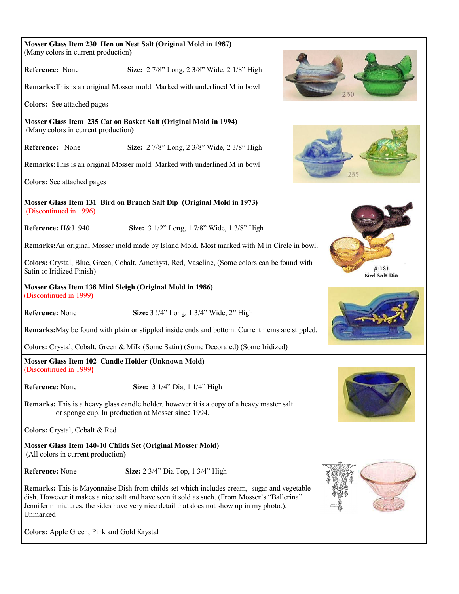| (Many colors in current production)                                                 | Mosser Glass Item 230 Hen on Nest Salt (Original Mold in 1987)                                                                                                                                                                                                                                 |  |  |                              |  |
|-------------------------------------------------------------------------------------|------------------------------------------------------------------------------------------------------------------------------------------------------------------------------------------------------------------------------------------------------------------------------------------------|--|--|------------------------------|--|
| Reference: None                                                                     | Size: 2 7/8" Long, 2 3/8" Wide, 2 1/8" High                                                                                                                                                                                                                                                    |  |  |                              |  |
| Remarks: This is an original Mosser mold. Marked with underlined M in bowl<br>230   |                                                                                                                                                                                                                                                                                                |  |  |                              |  |
| Colors: See attached pages                                                          |                                                                                                                                                                                                                                                                                                |  |  |                              |  |
| (Many colors in current production)                                                 | Mosser Glass Item 235 Cat on Basket Salt (Original Mold in 1994)                                                                                                                                                                                                                               |  |  |                              |  |
| Reference: None                                                                     | Size: 2 7/8" Long, 2 3/8" Wide, 2 3/8" High                                                                                                                                                                                                                                                    |  |  |                              |  |
|                                                                                     | Remarks: This is an original Mosser mold. Marked with underlined M in bowl                                                                                                                                                                                                                     |  |  | 235                          |  |
| <b>Colors:</b> See attached pages                                                   |                                                                                                                                                                                                                                                                                                |  |  |                              |  |
| (Discontinued in 1996)                                                              | Mosser Glass Item 131 Bird on Branch Salt Dip (Original Mold in 1973)                                                                                                                                                                                                                          |  |  |                              |  |
| Reference: H&J 940                                                                  | Size: 3 1/2" Long, 1 7/8" Wide, 1 3/8" High                                                                                                                                                                                                                                                    |  |  |                              |  |
|                                                                                     | Remarks: An original Mosser mold made by Island Mold. Most marked with M in Circle in bowl.                                                                                                                                                                                                    |  |  |                              |  |
| Satin or Iridized Finish)                                                           | Colors: Crystal, Blue, Green, Cobalt, Amethyst, Red, Vaseline, (Some colors can be found with                                                                                                                                                                                                  |  |  | #131<br><b>Bird Salt Dip</b> |  |
| (Discontinued in 1999)                                                              | Mosser Glass Item 138 Mini Sleigh (Original Mold in 1986)                                                                                                                                                                                                                                      |  |  |                              |  |
| Reference: None                                                                     | Size: 3 !/4" Long, 1 3/4" Wide, 2" High                                                                                                                                                                                                                                                        |  |  |                              |  |
|                                                                                     | Remarks: May be found with plain or stippled inside ends and bottom. Current items are stippled.                                                                                                                                                                                               |  |  |                              |  |
| Colors: Crystal, Cobalt, Green & Milk (Some Satin) (Some Decorated) (Some Iridized) |                                                                                                                                                                                                                                                                                                |  |  |                              |  |
| (Discontinued in 1999}                                                              | Mosser Glass Item 102 Candle Holder (Unknown Mold)                                                                                                                                                                                                                                             |  |  |                              |  |
| Reference: None                                                                     | Size: 3 1/4" Dia, 1 1/4" High                                                                                                                                                                                                                                                                  |  |  |                              |  |
|                                                                                     | <b>Remarks:</b> This is a heavy glass candle holder, however it is a copy of a heavy master salt.<br>or sponge cup. In production at Mosser since 1994.                                                                                                                                        |  |  |                              |  |
| Colors: Crystal, Cobalt & Red                                                       |                                                                                                                                                                                                                                                                                                |  |  |                              |  |
| (All colors in current production)                                                  | Mosser Glass Item 140-10 Childs Set (Original Mosser Mold)                                                                                                                                                                                                                                     |  |  |                              |  |
| <b>Reference:</b> None                                                              | Size: 2 3/4" Dia Top, 1 3/4" High                                                                                                                                                                                                                                                              |  |  |                              |  |
| Unmarked                                                                            | <b>Remarks:</b> This is Mayonnaise Dish from childs set which includes cream, sugar and vegetable<br>dish. However it makes a nice salt and have seen it sold as such. (From Mosser's "Ballerina"<br>Jennifer miniatures. the sides have very nice detail that does not show up in my photo.). |  |  |                              |  |
| Colors: Apple Green, Pink and Gold Krystal                                          |                                                                                                                                                                                                                                                                                                |  |  |                              |  |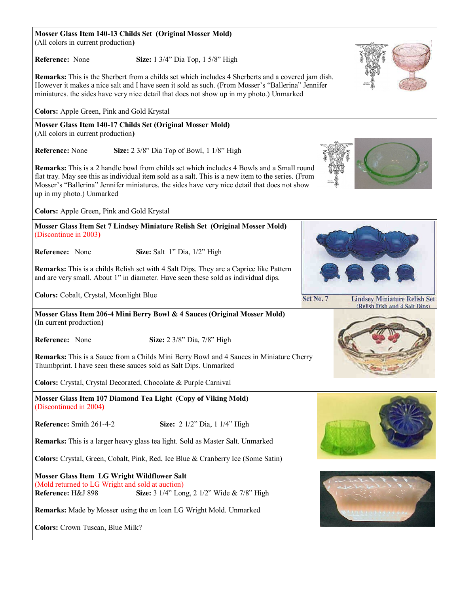**Mosser Glass Item 140-13 Childs Set (Original Mosser Mold)** (All colors in current production**) Reference:** None **Size:** 1 3/4" Dia Top, 1 5/8" High **Remarks:** This is the Sherbert from a childs set which includes 4 Sherberts and a covered jam dish. However it makes a nice salt and I have seen it sold as such. (From Mosser's "Ballerina" Jennifer miniatures. the sides have very nice detail that does not show up in my photo.) Unmarked **Colors:** Apple Green, Pink and Gold Krystal **Mosser Glass Item 140-17 Childs Set (Original Mosser Mold)** (All colors in current production**) Reference:** None **Size:** 2 3/8" Dia Top of Bowl, 1 1/8" High **Remarks:** This is a 2 handle bowl from childs set which includes 4 Bowls and a Small round flat tray. May see this as individual item sold as a salt. This is a new item to the series. (From Mosser's "Ballerina" Jennifer miniatures. the sides have very nice detail that does not show up in my photo.) Unmarked **Colors:** Apple Green, Pink and Gold Krystal **Mosser Glass Item Set 7 Lindsey Miniature Relish Set (Original Mosser Mold)** (Discontinue in 2003**) Reference:** None **Size:** Salt 1" Dia, 1/2" High **Remarks:** This is a childs Relish set with 4 Salt Dips. They are a Caprice like Pattern and are very small. About 1" in diameter. Have seen these sold as individual dips. **Colors:** Cobalt, Crystal, Moonlight Blue Set No. 7 **Lindsey Miniature Relish Set** (Relish Dish and 4 Salt Dins) **Mosser Glass Item 206-4 Mini Berry Bowl & 4 Sauces (Original Mosser Mold)** (In current production**) Reference:** None **Size:** 2 3/8" Dia, 7/8" High **Remarks:** This is a Sauce from a Childs Mini Berry Bowl and 4 Sauces in Miniature Cherry Thumbprint. I have seen these sauces sold as Salt Dips. Unmarked **Colors:** Crystal, Crystal Decorated, Chocolate & Purple Carnival **Mosser Glass Item 107 Diamond Tea Light (Copy of Viking Mold)** (Discontinued in 2004**) Reference:** Smith 261-4-2 **Size:** 2 1/2" Dia, 1 1/4" High **Remarks:** This is a larger heavy glass tea light. Sold as Master Salt. Unmarked **Colors:** Crystal, Green, Cobalt, Pink, Red, Ice Blue & Cranberry Ice (Some Satin) **Mosser Glass Item LG Wright Wildflower Salt** (Mold returned to LG Wright and sold at auction) **Reference: H&J 898 Size:** 3 1/4" Long, 2 1/2" Wide & 7/8" High **Remarks:** Made by Mosser using the on loan LG Wright Mold. Unmarked **Colors:** Crown Tuscan, Blue Milk?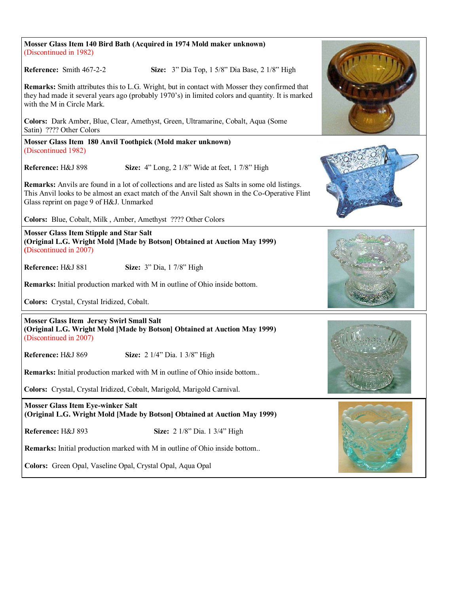| Mosser Glass Item 140 Bird Bath (Acquired in 1974 Mold maker unknown)<br>(Discontinued in 1982)                                                                                                                                                      |  |
|------------------------------------------------------------------------------------------------------------------------------------------------------------------------------------------------------------------------------------------------------|--|
| Reference: Smith 467-2-2<br>Size: 3" Dia Top, 1 5/8" Dia Base, 2 1/8" High                                                                                                                                                                           |  |
| <b>Remarks:</b> Smith attributes this to L.G. Wright, but in contact with Mosser they confirmed that<br>they had made it several years ago (probably 1970's) in limited colors and quantity. It is marked<br>with the M in Circle Mark.              |  |
| Colors: Dark Amber, Blue, Clear, Amethyst, Green, Ultramarine, Cobalt, Aqua (Some<br>Satin) ???? Other Colors                                                                                                                                        |  |
| Mosser Glass Item 180 Anvil Toothpick (Mold maker unknown)<br>(Discontinued 1982)                                                                                                                                                                    |  |
| Reference: H&J 898<br>Size: $4$ " Long, $2 \frac{1}{8}$ " Wide at feet, $1 \frac{7}{8}$ " High                                                                                                                                                       |  |
| <b>Remarks:</b> Anvils are found in a lot of collections and are listed as Salts in some old listings.<br>This Anvil looks to be almost an exact match of the Anvil Salt shown in the Co-Operative Flint<br>Glass reprint on page 9 of H&J. Unmarked |  |
| Colors: Blue, Cobalt, Milk, Amber, Amethyst ???? Other Colors                                                                                                                                                                                        |  |
| <b>Mosser Glass Item Stipple and Star Salt</b><br>(Original L.G. Wright Mold [Made by Botson] Obtained at Auction May 1999)<br>(Discontinued in 2007)                                                                                                |  |
| Reference: H&J 881<br><b>Size:</b> 3" Dia, 1 7/8" High                                                                                                                                                                                               |  |
| Remarks: Initial production marked with M in outline of Ohio inside bottom.                                                                                                                                                                          |  |
| Colors: Crystal, Crystal Iridized, Cobalt.                                                                                                                                                                                                           |  |
| <b>Mosser Glass Item Jersey Swirl Small Salt</b><br>(Original L.G. Wright Mold [Made by Botson] Obtained at Auction May 1999)<br>(Discontinued in 2007)                                                                                              |  |
| Reference: H&J 869<br>Size: 2 1/4" Dia. 1 3/8" High                                                                                                                                                                                                  |  |
| <b>Remarks:</b> Initial production marked with M in outline of Ohio inside bottom                                                                                                                                                                    |  |
| Colors: Crystal, Crystal Iridized, Cobalt, Marigold, Marigold Carnival.                                                                                                                                                                              |  |
| <b>Mosser Glass Item Eye-winker Salt</b><br>(Original L.G. Wright Mold [Made by Botson] Obtained at Auction May 1999)                                                                                                                                |  |
| Reference: H&J 893<br>Size: 2 1/8" Dia. 1 3/4" High                                                                                                                                                                                                  |  |
| Remarks: Initial production marked with M in outline of Ohio inside bottom                                                                                                                                                                           |  |
| Colors: Green Opal, Vaseline Opal, Crystal Opal, Aqua Opal                                                                                                                                                                                           |  |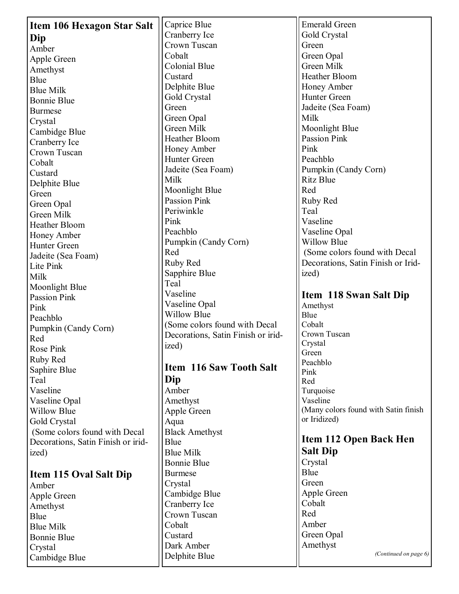| <b>Item 106 Hexagon Star Salt</b>  | Caprice Blue                       | <b>Emerald Green</b>                 |
|------------------------------------|------------------------------------|--------------------------------------|
|                                    | Cranberry Ice                      | Gold Crystal                         |
| Dip                                | Crown Tuscan                       | Green                                |
| Amber                              | Cobalt                             | Green Opal                           |
| Apple Green                        | Colonial Blue                      | Green Milk                           |
| Amethyst                           | Custard                            | Heather Bloom                        |
| <b>Blue</b>                        | Delphite Blue                      | Honey Amber                          |
| <b>Blue Milk</b>                   | Gold Crystal                       | Hunter Green                         |
| <b>Bonnie Blue</b>                 | Green                              | Jadeite (Sea Foam)                   |
| <b>Burmese</b>                     | Green Opal                         | Milk                                 |
| Crystal                            | Green Milk                         | Moonlight Blue                       |
| Cambidge Blue                      | Heather Bloom                      | <b>Passion Pink</b>                  |
| Cranberry Ice                      | Honey Amber                        | Pink                                 |
| Crown Tuscan                       | Hunter Green                       | Peachblo                             |
| Cobalt                             | Jadeite (Sea Foam)                 | Pumpkin (Candy Corn)                 |
| Custard                            | Milk                               | <b>Ritz Blue</b>                     |
| Delphite Blue                      | Moonlight Blue                     | Red                                  |
| Green                              | <b>Passion Pink</b>                | Ruby Red                             |
| Green Opal                         | Periwinkle                         | Teal                                 |
| Green Milk                         |                                    | Vaseline                             |
| Heather Bloom                      | Pink<br>Peachblo                   |                                      |
| Honey Amber                        |                                    | Vaseline Opal<br><b>Willow Blue</b>  |
| Hunter Green                       | Pumpkin (Candy Corn)<br>Red        |                                      |
| Jadeite (Sea Foam)                 |                                    | (Some colors found with Decal        |
| Lite Pink                          | Ruby Red                           | Decorations, Satin Finish or Irid-   |
| Milk                               | Sapphire Blue                      | ized)                                |
| Moonlight Blue                     | Teal                               |                                      |
| <b>Passion Pink</b>                | Vaseline                           | Item 118 Swan Salt Dip               |
|                                    | Vaseline Opal                      | Amethyst                             |
| Pink                               |                                    |                                      |
| Peachblo                           | <b>Willow Blue</b>                 | Blue                                 |
| Pumpkin (Candy Corn)               | (Some colors found with Decal      | Cobalt                               |
| Red                                | Decorations, Satin Finish or irid- | Crown Tuscan                         |
| Rose Pink                          | ized)                              | Crystal                              |
| Ruby Red                           |                                    | Green                                |
| Saphire Blue                       | <b>Item 116 Saw Tooth Salt</b>     | Peachblo                             |
| Teal                               | Dip                                | Pink<br>Red                          |
| Vaseline                           | Amber                              | Turquoise                            |
| Vaseline Opal                      | Amethyst                           | Vaseline                             |
| <b>Willow Blue</b>                 | Apple Green                        | (Many colors found with Satin finish |
| Gold Crystal                       | Aqua                               | or Iridized)                         |
| (Some colors found with Decal      | <b>Black Amethyst</b>              |                                      |
|                                    | Blue                               | <b>Item 112 Open Back Hen</b>        |
| Decorations, Satin Finish or irid- | <b>Blue Milk</b>                   | <b>Salt Dip</b>                      |
| ized)                              | <b>Bonnie Blue</b>                 | Crystal                              |
|                                    | <b>Burmese</b>                     | Blue                                 |
| <b>Item 115 Oval Salt Dip</b>      | Crystal                            | Green                                |
| Amber                              |                                    | Apple Green                          |
| Apple Green                        | Cambidge Blue                      | Cobalt                               |
| Amethyst                           | Cranberry Ice                      | Red                                  |
| <b>Blue</b>                        | Crown Tuscan                       | Amber                                |
| <b>Blue Milk</b>                   | Cobalt                             |                                      |
| <b>Bonnie Blue</b>                 | Custard                            | Green Opal                           |
| Crystal<br>Cambidge Blue           | Dark Amber<br>Delphite Blue        | Amethyst<br>(Continued on page 6)    |